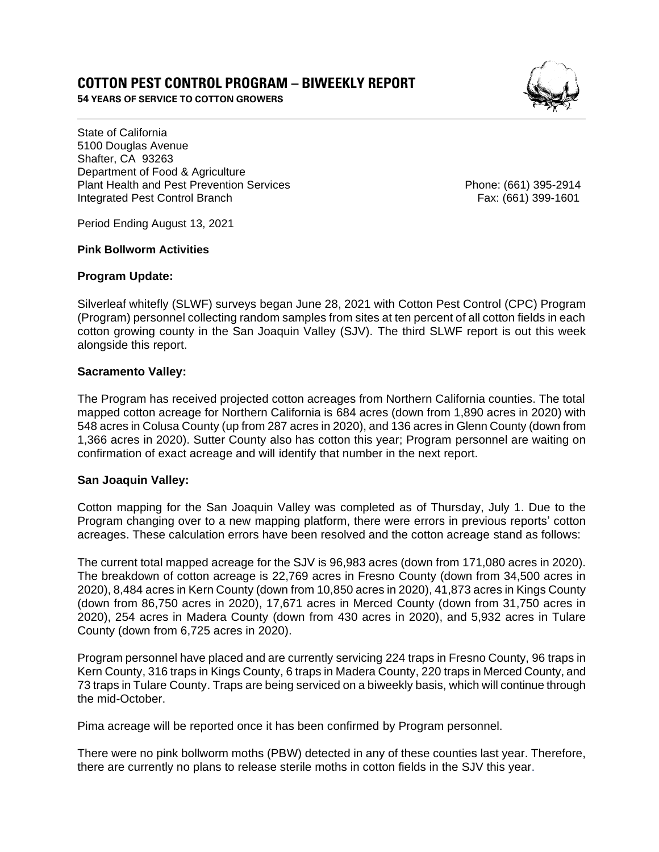# **COTTON PEST CONTROL PROGRAM – BIWEEKLY REPORT**

**54 YEARS OF SERVICE TO COTTON GROWERS** 



State of California 5100 Douglas Avenue Shafter, CA 93263 Department of Food & Agriculture Plant Health and Pest Prevention Services **Phone: (661)** 395-2914 Integrated Pest Control Branch Fax: (661) 399-1601

Period Ending August 13, 2021

#### **Pink Bollworm Activities**

### **Program Update:**

Silverleaf whitefly (SLWF) surveys began June 28, 2021 with Cotton Pest Control (CPC) Program (Program) personnel collecting random samples from sites at ten percent of all cotton fields in each cotton growing county in the San Joaquin Valley (SJV). The third SLWF report is out this week alongside this report.

### **Sacramento Valley:**

The Program has received projected cotton acreages from Northern California counties. The total mapped cotton acreage for Northern California is 684 acres (down from 1,890 acres in 2020) with 548 acres in Colusa County (up from 287 acres in 2020), and 136 acres in Glenn County (down from 1,366 acres in 2020). Sutter County also has cotton this year; Program personnel are waiting on confirmation of exact acreage and will identify that number in the next report.

### **San Joaquin Valley:**

Cotton mapping for the San Joaquin Valley was completed as of Thursday, July 1. Due to the Program changing over to a new mapping platform, there were errors in previous reports' cotton acreages. These calculation errors have been resolved and the cotton acreage stand as follows:

The current total mapped acreage for the SJV is 96,983 acres (down from 171,080 acres in 2020). The breakdown of cotton acreage is 22,769 acres in Fresno County (down from 34,500 acres in 2020), 8,484 acres in Kern County (down from 10,850 acres in 2020), 41,873 acres in Kings County (down from 86,750 acres in 2020), 17,671 acres in Merced County (down from 31,750 acres in 2020), 254 acres in Madera County (down from 430 acres in 2020), and 5,932 acres in Tulare County (down from 6,725 acres in 2020).

Program personnel have placed and are currently servicing 224 traps in Fresno County, 96 traps in Kern County, 316 traps in Kings County, 6 traps in Madera County, 220 traps in Merced County, and 73 traps in Tulare County. Traps are being serviced on a biweekly basis, which will continue through the mid-October.

Pima acreage will be reported once it has been confirmed by Program personnel.

There were no pink bollworm moths (PBW) detected in any of these counties last year. Therefore, there are currently no plans to release sterile moths in cotton fields in the SJV this year.